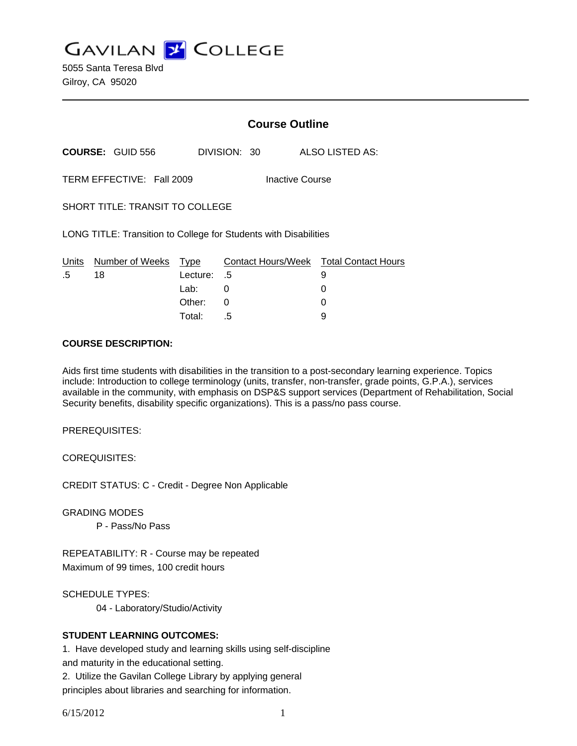**GAVILAN J COLLEGE** 

5055 Santa Teresa Blvd Gilroy, CA 95020

|                                                                  |                            | <b>Course Outline</b>  |              |                                        |
|------------------------------------------------------------------|----------------------------|------------------------|--------------|----------------------------------------|
|                                                                  | <b>COURSE: GUID 556</b>    |                        | DIVISION: 30 | ALSO LISTED AS:                        |
| TERM EFFECTIVE: Fall 2009<br><b>Inactive Course</b>              |                            |                        |              |                                        |
| <b>SHORT TITLE: TRANSIT TO COLLEGE</b>                           |                            |                        |              |                                        |
| LONG TITLE: Transition to College for Students with Disabilities |                            |                        |              |                                        |
|                                                                  | Units Number of Weeks Type |                        |              | Contact Hours/Week Total Contact Hours |
| .5                                                               | 18                         | Lecture: .5<br>Lab: La |              | 9<br>0                                 |
|                                                                  |                            |                        | 0            |                                        |
|                                                                  |                            | Other:                 | 0            |                                        |
|                                                                  |                            | Total:                 | .5           | 9                                      |

#### **COURSE DESCRIPTION:**

Aids first time students with disabilities in the transition to a post-secondary learning experience. Topics include: Introduction to college terminology (units, transfer, non-transfer, grade points, G.P.A.), services available in the community, with emphasis on DSP&S support services (Department of Rehabilitation, Social Security benefits, disability specific organizations). This is a pass/no pass course.

PREREQUISITES:

COREQUISITES:

CREDIT STATUS: C - Credit - Degree Non Applicable

GRADING MODES

P - Pass/No Pass

REPEATABILITY: R - Course may be repeated Maximum of 99 times, 100 credit hours

SCHEDULE TYPES:

04 - Laboratory/Studio/Activity

### **STUDENT LEARNING OUTCOMES:**

1. Have developed study and learning skills using self-discipline and maturity in the educational setting.

2. Utilize the Gavilan College Library by applying general principles about libraries and searching for information.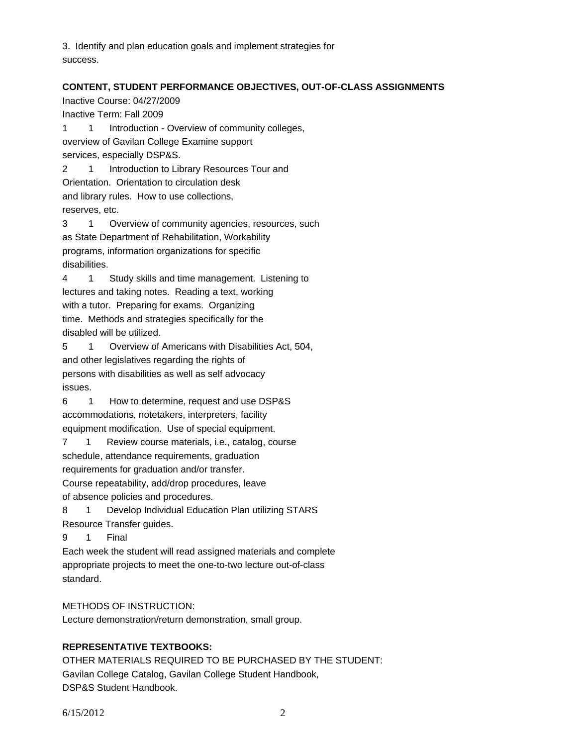3. Identify and plan education goals and implement strategies for success.

## **CONTENT, STUDENT PERFORMANCE OBJECTIVES, OUT-OF-CLASS ASSIGNMENTS**

Inactive Course: 04/27/2009 Inactive Term: Fall 2009 1 1 Introduction - Overview of community colleges, overview of Gavilan College Examine support services, especially DSP&S. 2 1 Introduction to Library Resources Tour and Orientation. Orientation to circulation desk and library rules. How to use collections, reserves, etc. 3 1 Overview of community agencies, resources, such as State Department of Rehabilitation, Workability programs, information organizations for specific disabilities. 4 1 Study skills and time management. Listening to lectures and taking notes. Reading a text, working with a tutor. Preparing for exams. Organizing time. Methods and strategies specifically for the disabled will be utilized. 5 1 Overview of Americans with Disabilities Act, 504, and other legislatives regarding the rights of persons with disabilities as well as self advocacy issues. 6 1 How to determine, request and use DSP&S accommodations, notetakers, interpreters, facility equipment modification. Use of special equipment. 7 1 Review course materials, i.e., catalog, course schedule, attendance requirements, graduation requirements for graduation and/or transfer.

Course repeatability, add/drop procedures, leave of absence policies and procedures.

8 1 Develop Individual Education Plan utilizing STARS

Resource Transfer guides.

9 1 Final

Each week the student will read assigned materials and complete appropriate projects to meet the one-to-two lecture out-of-class standard.

# METHODS OF INSTRUCTION:

Lecture demonstration/return demonstration, small group.

# **REPRESENTATIVE TEXTBOOKS:**

OTHER MATERIALS REQUIRED TO BE PURCHASED BY THE STUDENT: Gavilan College Catalog, Gavilan College Student Handbook, DSP&S Student Handbook.